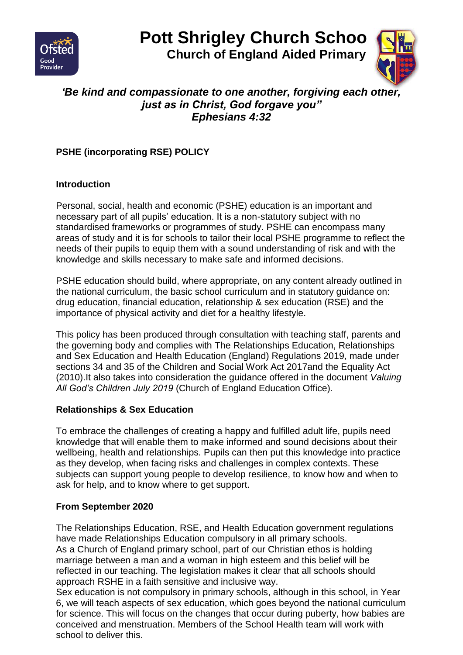

# **Pott Shrigley Church School**

 **Church of England Aided Primary**



# *'Be kind and compassionate to one another, forgiving each other, just as in Christ, God forgave you" Ephesians 4:32*

# **PSHE (incorporating RSE) POLICY**

#### **Introduction**

Personal, social, health and economic (PSHE) education is an important and necessary part of all pupils' education. It is a non-statutory subject with no standardised frameworks or programmes of study. PSHE can encompass many areas of study and it is for schools to tailor their local PSHE programme to reflect the needs of their pupils to equip them with a sound understanding of risk and with the knowledge and skills necessary to make safe and informed decisions.

PSHE education should build, where appropriate, on any content already outlined in the national curriculum, the basic school curriculum and in statutory guidance on: drug education, financial education, relationship & sex education (RSE) and the importance of physical activity and diet for a healthy lifestyle.

This policy has been produced through consultation with teaching staff, parents and the governing body and complies with The Relationships Education, Relationships and Sex Education and Health Education (England) Regulations 2019, made under sections 34 and 35 of the Children and Social Work Act 2017and the Equality Act (2010).It also takes into consideration the guidance offered in the document *Valuing All God's Children July 2019* (Church of England Education Office).

#### **Relationships & Sex Education**

To embrace the challenges of creating a happy and fulfilled adult life, pupils need knowledge that will enable them to make informed and sound decisions about their wellbeing, health and relationships*.* Pupils can then put this knowledge into practice as they develop, when facing risks and challenges in complex contexts. These subjects can support young people to develop resilience, to know how and when to ask for help, and to know where to get support.

#### **From September 2020**

The Relationships Education, RSE, and Health Education government regulations have made Relationships Education compulsory in all primary schools. As a Church of England primary school, part of our Christian ethos is holding marriage between a man and a woman in high esteem and this belief will be reflected in our teaching. The legislation makes it clear that all schools should approach RSHE in a faith sensitive and inclusive way.

Sex education is not compulsory in primary schools, although in this school, in Year 6, we will teach aspects of sex education, which goes beyond the national curriculum for science. This will focus on the changes that occur during puberty, how babies are conceived and menstruation. Members of the School Health team will work with school to deliver this.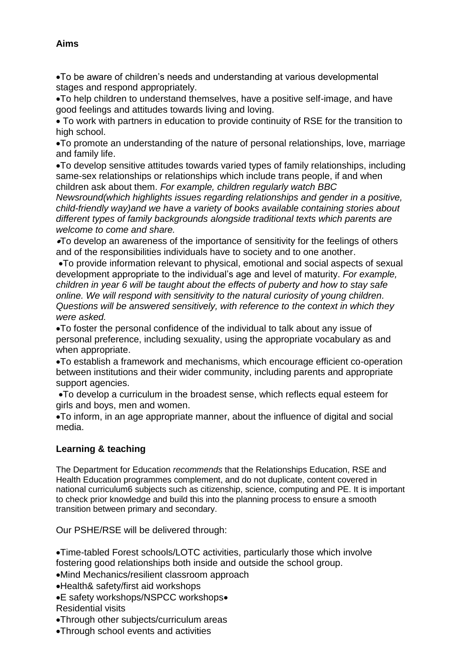#### **Aims**

To be aware of children's needs and understanding at various developmental stages and respond appropriately.

To help children to understand themselves, have a positive self-image, and have good feelings and attitudes towards living and loving.

 To work with partners in education to provide continuity of RSE for the transition to high school.

To promote an understanding of the nature of personal relationships, love, marriage and family life.

To develop sensitive attitudes towards varied types of family relationships, including same-sex relationships or relationships which include trans people, if and when children ask about them. *For example, children regularly watch BBC* 

*Newsround(which highlights issues regarding relationships and gender in a positive, child-friendly way)and we have a variety of books available containing stories about different types of family backgrounds alongside traditional texts which parents are welcome to come and share.*

To develop an awareness of the importance of sensitivity for the feelings of others and of the responsibilities individuals have to society and to one another.

To provide information relevant to physical, emotional and social aspects of sexual development appropriate to the individual's age and level of maturity. *For example, children in year 6 will be taught about the effects of puberty and how to stay safe online. We will respond with sensitivity to the natural curiosity of young children. Questions will be answered sensitively, with reference to the context in which they were asked.*

To foster the personal confidence of the individual to talk about any issue of personal preference, including sexuality, using the appropriate vocabulary as and when appropriate.

To establish a framework and mechanisms, which encourage efficient co-operation between institutions and their wider community, including parents and appropriate support agencies.

To develop a curriculum in the broadest sense, which reflects equal esteem for girls and boys, men and women.

To inform, in an age appropriate manner, about the influence of digital and social media.

#### **Learning & teaching**

The Department for Education *recommends* that the Relationships Education, RSE and Health Education programmes complement, and do not duplicate, content covered in national curriculum6 subjects such as citizenship, science, computing and PE. It is important to check prior knowledge and build this into the planning process to ensure a smooth transition between primary and secondary.

Our PSHE/RSE will be delivered through:

Time-tabled Forest schools/LOTC activities, particularly those which involve fostering good relationships both inside and outside the school group.

Mind Mechanics/resilient classroom approach

Health& safety/first aid workshops

E safety workshops/NSPCC workshops Residential visits

Through other subjects/curriculum areas

Through school events and activities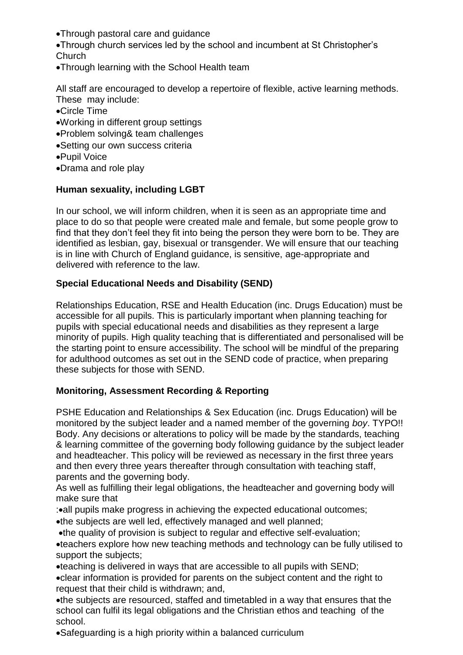Through pastoral care and guidance

Through church services led by the school and incumbent at St Christopher's **Church** 

Through learning with the School Health team

All staff are encouraged to develop a repertoire of flexible, active learning methods. These may include:

- Circle Time
- Working in different group settings
- Problem solving& team challenges
- Setting our own success criteria
- Pupil Voice
- Drama and role play

#### **Human sexuality, including LGBT**

In our school, we will inform children, when it is seen as an appropriate time and place to do so that people were created male and female, but some people grow to find that they don't feel they fit into being the person they were born to be. They are identified as lesbian, gay, bisexual or transgender. We will ensure that our teaching is in line with Church of England guidance, is sensitive, age-appropriate and delivered with reference to the law.

#### **Special Educational Needs and Disability (SEND)**

Relationships Education, RSE and Health Education (inc. Drugs Education) must be accessible for all pupils. This is particularly important when planning teaching for pupils with special educational needs and disabilities as they represent a large minority of pupils. High quality teaching that is differentiated and personalised will be the starting point to ensure accessibility. The school will be mindful of the preparing for adulthood outcomes as set out in the SEND code of practice, when preparing these subjects for those with SEND.

#### **Monitoring, Assessment Recording & Reporting**

PSHE Education and Relationships & Sex Education (inc. Drugs Education) will be monitored by the subject leader and a named member of the governing *boy*. TYPO!! Body. Any decisions or alterations to policy will be made by the standards, teaching & learning committee of the governing body following guidance by the subject leader and headteacher. This policy will be reviewed as necessary in the first three years and then every three years thereafter through consultation with teaching staff, parents and the governing body.

As well as fulfilling their legal obligations, the headteacher and governing body will make sure that

:• all pupils make progress in achieving the expected educational outcomes;

the subjects are well led, effectively managed and well planned;

the quality of provision is subject to regular and effective self-evaluation;

teachers explore how new teaching methods and technology can be fully utilised to support the subjects;

teaching is delivered in ways that are accessible to all pupils with SEND;

clear information is provided for parents on the subject content and the right to request that their child is withdrawn; and,

the subjects are resourced, staffed and timetabled in a way that ensures that the school can fulfil its legal obligations and the Christian ethos and teaching of the school.

Safeguarding is a high priority within a balanced curriculum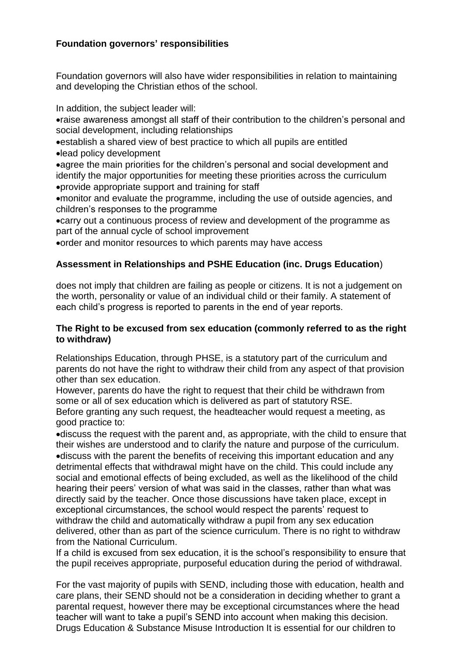#### **Foundation governors' responsibilities**

Foundation governors will also have wider responsibilities in relation to maintaining and developing the Christian ethos of the school.

In addition, the subject leader will:

raise awareness amongst all staff of their contribution to the children's personal and social development, including relationships

establish a shared view of best practice to which all pupils are entitled lead policy development

agree the main priorities for the children's personal and social development and identify the major opportunities for meeting these priorities across the curriculum provide appropriate support and training for staff

monitor and evaluate the programme, including the use of outside agencies, and children's responses to the programme

carry out a continuous process of review and development of the programme as part of the annual cycle of school improvement

order and monitor resources to which parents may have access

#### **Assessment in Relationships and PSHE Education (inc. Drugs Education**)

does not imply that children are failing as people or citizens. It is not a judgement on the worth, personality or value of an individual child or their family. A statement of each child's progress is reported to parents in the end of year reports.

#### **The Right to be excused from sex education (commonly referred to as the right to withdraw)**

Relationships Education, through PHSE, is a statutory part of the curriculum and parents do not have the right to withdraw their child from any aspect of that provision other than sex education.

However, parents do have the right to request that their child be withdrawn from some or all of sex education which is delivered as part of statutory RSE. Before granting any such request, the headteacher would request a meeting, as good practice to:

discuss the request with the parent and, as appropriate, with the child to ensure that their wishes are understood and to clarify the nature and purpose of the curriculum. discuss with the parent the benefits of receiving this important education and any detrimental effects that withdrawal might have on the child. This could include any social and emotional effects of being excluded, as well as the likelihood of the child hearing their peers' version of what was said in the classes, rather than what was directly said by the teacher. Once those discussions have taken place, except in exceptional circumstances, the school would respect the parents' request to withdraw the child and automatically withdraw a pupil from any sex education delivered, other than as part of the science curriculum. There is no right to withdraw from the National Curriculum.

If a child is excused from sex education, it is the school's responsibility to ensure that the pupil receives appropriate, purposeful education during the period of withdrawal.

For the vast majority of pupils with SEND, including those with education, health and care plans, their SEND should not be a consideration in deciding whether to grant a parental request, however there may be exceptional circumstances where the head teacher will want to take a pupil's SEND into account when making this decision. Drugs Education & Substance Misuse Introduction It is essential for our children to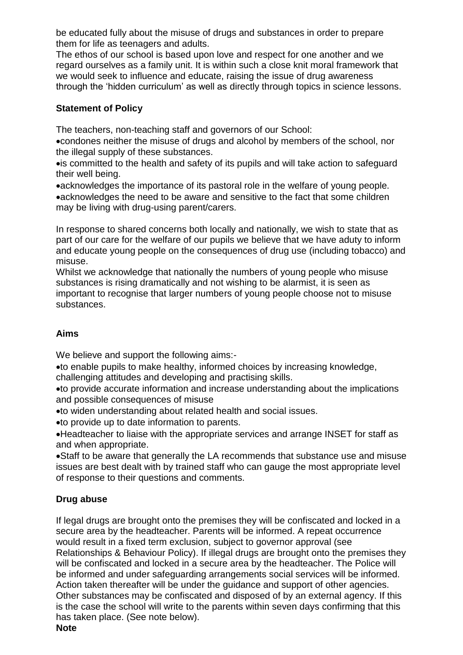be educated fully about the misuse of drugs and substances in order to prepare them for life as teenagers and adults.

The ethos of our school is based upon love and respect for one another and we regard ourselves as a family unit. It is within such a close knit moral framework that we would seek to influence and educate, raising the issue of drug awareness through the 'hidden curriculum' as well as directly through topics in science lessons.

#### **Statement of Policy**

The teachers, non-teaching staff and governors of our School:

condones neither the misuse of drugs and alcohol by members of the school, nor the illegal supply of these substances.

is committed to the health and safety of its pupils and will take action to safeguard their well being.

acknowledges the importance of its pastoral role in the welfare of young people. acknowledges the need to be aware and sensitive to the fact that some children may be living with drug-using parent/carers.

In response to shared concerns both locally and nationally, we wish to state that as part of our care for the welfare of our pupils we believe that we have aduty to inform and educate young people on the consequences of drug use (including tobacco) and misuse.

Whilst we acknowledge that nationally the numbers of young people who misuse substances is rising dramatically and not wishing to be alarmist, it is seen as important to recognise that larger numbers of young people choose not to misuse substances.

## **Aims**

We believe and support the following aims:-

to enable pupils to make healthy, informed choices by increasing knowledge, challenging attitudes and developing and practising skills.

to provide accurate information and increase understanding about the implications and possible consequences of misuse

to widen understanding about related health and social issues.

to provide up to date information to parents.

Headteacher to liaise with the appropriate services and arrange INSET for staff as and when appropriate.

Staff to be aware that generally the LA recommends that substance use and misuse issues are best dealt with by trained staff who can gauge the most appropriate level of response to their questions and comments.

## **Drug abuse**

If legal drugs are brought onto the premises they will be confiscated and locked in a secure area by the headteacher. Parents will be informed. A repeat occurrence would result in a fixed term exclusion, subject to governor approval (see Relationships & Behaviour Policy). If illegal drugs are brought onto the premises they will be confiscated and locked in a secure area by the headteacher. The Police will be informed and under safeguarding arrangements social services will be informed. Action taken thereafter will be under the guidance and support of other agencies. Other substances may be confiscated and disposed of by an external agency. If this is the case the school will write to the parents within seven days confirming that this has taken place. (See note below).

**Note**